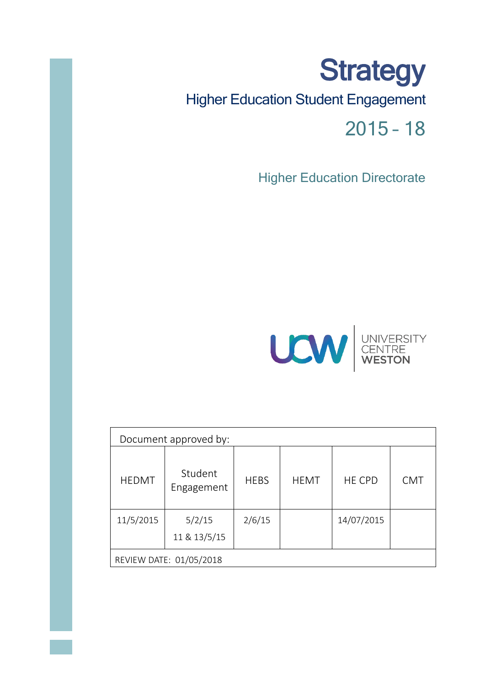# **Strategy** Higher Education Student Engagement 2015 – 18

**Higher Education Directorate** 



| Document approved by:   |                        |             |             |               |            |
|-------------------------|------------------------|-------------|-------------|---------------|------------|
| <b>HEDMT</b>            | Student<br>Engagement  | <b>HEBS</b> | <b>HEMT</b> | <b>HE CPD</b> | <b>CMT</b> |
| 11/5/2015               | 5/2/15<br>11 & 13/5/15 | 2/6/15      |             | 14/07/2015    |            |
| REVIEW DATE: 01/05/2018 |                        |             |             |               |            |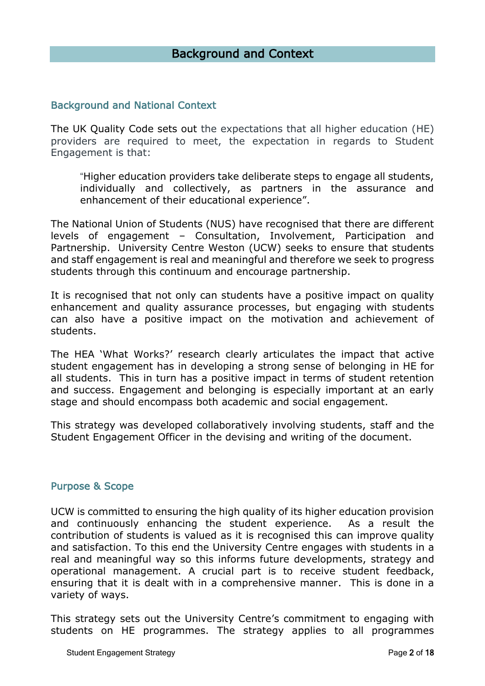#### Background and National Context

The UK Quality Code sets out the expectations that all higher education (HE) providers are required to meet, the expectation in regards to Student Engagement is that:

"Higher education providers take deliberate steps to engage all students, individually and collectively, as partners in the assurance and enhancement of their educational experience".

The National Union of Students (NUS) have recognised that there are different levels of engagement – Consultation, Involvement, Participation and Partnership. University Centre Weston (UCW) seeks to ensure that students and staff engagement is real and meaningful and therefore we seek to progress students through this continuum and encourage partnership.

It is recognised that not only can students have a positive impact on quality enhancement and quality assurance processes, but engaging with students can also have a positive impact on the motivation and achievement of students.

The HEA 'What Works?' research clearly articulates the impact that active student engagement has in developing a strong sense of belonging in HE for all students. This in turn has a positive impact in terms of student retention and success. Engagement and belonging is especially important at an early stage and should encompass both academic and social engagement.

This strategy was developed collaboratively involving students, staff and the Student Engagement Officer in the devising and writing of the document.

#### Purpose & Scope

UCW is committed to ensuring the high quality of its higher education provision and continuously enhancing the student experience. As a result the contribution of students is valued as it is recognised this can improve quality and satisfaction. To this end the University Centre engages with students in a real and meaningful way so this informs future developments, strategy and operational management. A crucial part is to receive student feedback, ensuring that it is dealt with in a comprehensive manner. This is done in a variety of ways.

This strategy sets out the University Centre's commitment to engaging with students on HE programmes. The strategy applies to all programmes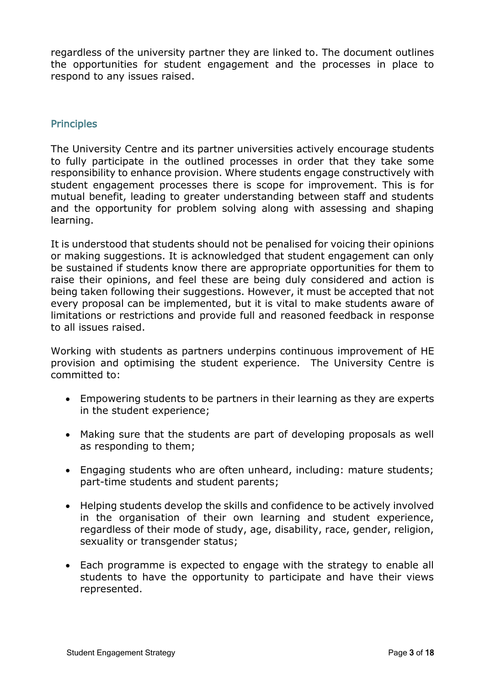regardless of the university partner they are linked to. The document outlines the opportunities for student engagement and the processes in place to respond to any issues raised.

## **Principles**

The University Centre and its partner universities actively encourage students to fully participate in the outlined processes in order that they take some responsibility to enhance provision. Where students engage constructively with student engagement processes there is scope for improvement. This is for mutual benefit, leading to greater understanding between staff and students and the opportunity for problem solving along with assessing and shaping learning.

It is understood that students should not be penalised for voicing their opinions or making suggestions. It is acknowledged that student engagement can only be sustained if students know there are appropriate opportunities for them to raise their opinions, and feel these are being duly considered and action is being taken following their suggestions. However, it must be accepted that not every proposal can be implemented, but it is vital to make students aware of limitations or restrictions and provide full and reasoned feedback in response to all issues raised.

Working with students as partners underpins continuous improvement of HE provision and optimising the student experience. The University Centre is committed to:

- Empowering students to be partners in their learning as they are experts in the student experience;
- Making sure that the students are part of developing proposals as well as responding to them;
- Engaging students who are often unheard, including: mature students; part-time students and student parents;
- Helping students develop the skills and confidence to be actively involved in the organisation of their own learning and student experience, regardless of their mode of study, age, disability, race, gender, religion, sexuality or transgender status;
- Each programme is expected to engage with the strategy to enable all students to have the opportunity to participate and have their views represented.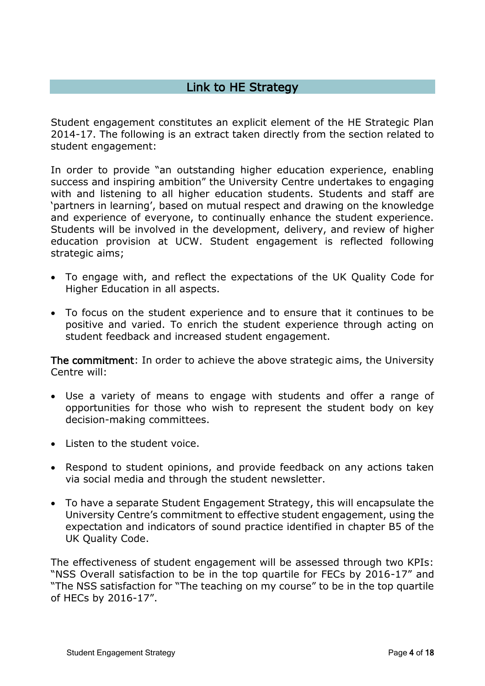## Link to HE Strategy

Student engagement constitutes an explicit element of the HE Strategic Plan 2014-17. The following is an extract taken directly from the section related to student engagement:

In order to provide "an outstanding higher education experience, enabling success and inspiring ambition" the University Centre undertakes to engaging with and listening to all higher education students. Students and staff are 'partners in learning', based on mutual respect and drawing on the knowledge and experience of everyone, to continually enhance the student experience. Students will be involved in the development, delivery, and review of higher education provision at UCW. Student engagement is reflected following strategic aims;

- To engage with, and reflect the expectations of the UK Quality Code for Higher Education in all aspects.
- To focus on the student experience and to ensure that it continues to be positive and varied. To enrich the student experience through acting on student feedback and increased student engagement.

The commitment: In order to achieve the above strategic aims, the University Centre will:

- Use a variety of means to engage with students and offer a range of opportunities for those who wish to represent the student body on key decision-making committees.
- Listen to the student voice.
- Respond to student opinions, and provide feedback on any actions taken via social media and through the student newsletter.
- To have a separate Student Engagement Strategy, this will encapsulate the University Centre's commitment to effective student engagement, using the expectation and indicators of sound practice identified in chapter B5 of the UK Quality Code.

The effectiveness of student engagement will be assessed through two KPIs: "NSS Overall satisfaction to be in the top quartile for FECs by 2016-17" and "The NSS satisfaction for "The teaching on my course" to be in the top quartile of HECs by 2016-17".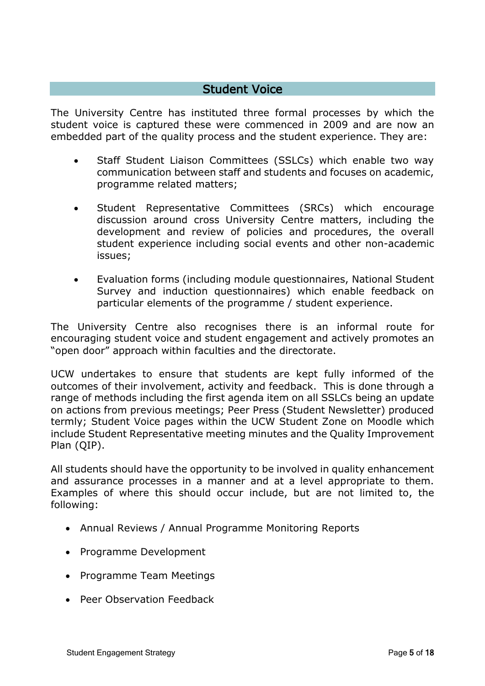## Student Voice

The University Centre has instituted three formal processes by which the student voice is captured these were commenced in 2009 and are now an embedded part of the quality process and the student experience. They are:

- Staff Student Liaison Committees (SSLCs) which enable two way communication between staff and students and focuses on academic, programme related matters;
- Student Representative Committees (SRCs) which encourage discussion around cross University Centre matters, including the development and review of policies and procedures, the overall student experience including social events and other non-academic issues;
- Evaluation forms (including module questionnaires, National Student Survey and induction questionnaires) which enable feedback on particular elements of the programme / student experience.

The University Centre also recognises there is an informal route for encouraging student voice and student engagement and actively promotes an "open door" approach within faculties and the directorate.

UCW undertakes to ensure that students are kept fully informed of the outcomes of their involvement, activity and feedback. This is done through a range of methods including the first agenda item on all SSLCs being an update on actions from previous meetings; Peer Press (Student Newsletter) produced termly; Student Voice pages within the UCW Student Zone on Moodle which include Student Representative meeting minutes and the Quality Improvement Plan (QIP).

All students should have the opportunity to be involved in quality enhancement and assurance processes in a manner and at a level appropriate to them. Examples of where this should occur include, but are not limited to, the following:

- Annual Reviews / Annual Programme Monitoring Reports
- Programme Development
- Programme Team Meetings
- Peer Observation Feedback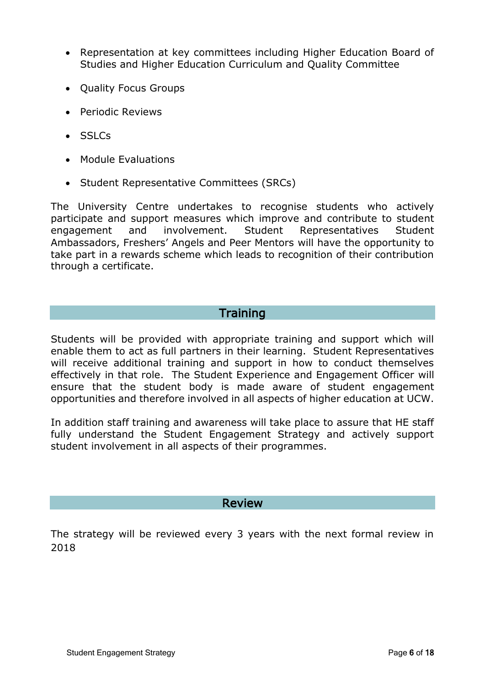- Representation at key committees including Higher Education Board of Studies and Higher Education Curriculum and Quality Committee
- Ouality Focus Groups
- Periodic Reviews
- SSLCs
- Module Evaluations
- Student Representative Committees (SRCs)

The University Centre undertakes to recognise students who actively participate and support measures which improve and contribute to student engagement and involvement. Student Representatives Student Ambassadors, Freshers' Angels and Peer Mentors will have the opportunity to take part in a rewards scheme which leads to recognition of their contribution through a certificate.

# **Training**

Students will be provided with appropriate training and support which will enable them to act as full partners in their learning. Student Representatives will receive additional training and support in how to conduct themselves effectively in that role. The Student Experience and Engagement Officer will ensure that the student body is made aware of student engagement opportunities and therefore involved in all aspects of higher education at UCW.

In addition staff training and awareness will take place to assure that HE staff fully understand the Student Engagement Strategy and actively support student involvement in all aspects of their programmes.

## Review

The strategy will be reviewed every 3 years with the next formal review in 2018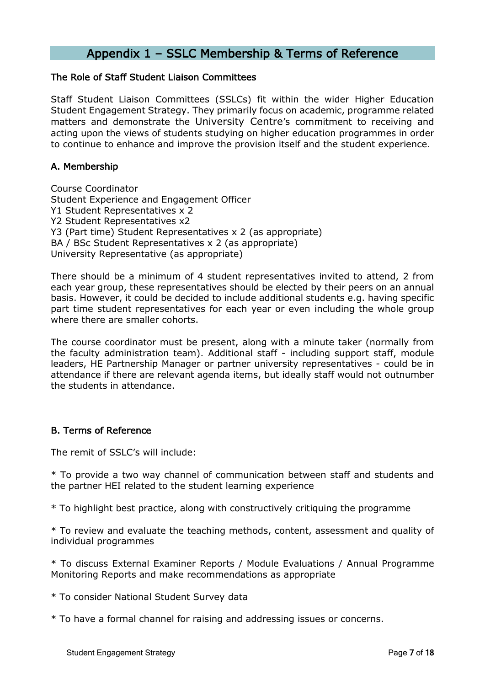## Appendix 1 – SSLC Membership & Terms of Reference

#### The Role of Staff Student Liaison Committees

Staff Student Liaison Committees (SSLCs) fit within the wider Higher Education Student Engagement Strategy. They primarily focus on academic, programme related matters and demonstrate the University Centre's commitment to receiving and acting upon the views of students studying on higher education programmes in order to continue to enhance and improve the provision itself and the student experience.

#### A. Membership

Course Coordinator Student Experience and Engagement Officer Y1 Student Representatives x 2 Y2 Student Representatives x2 Y3 (Part time) Student Representatives x 2 (as appropriate) BA / BSc Student Representatives x 2 (as appropriate) University Representative (as appropriate)

There should be a minimum of 4 student representatives invited to attend, 2 from each year group, these representatives should be elected by their peers on an annual basis. However, it could be decided to include additional students e.g. having specific part time student representatives for each year or even including the whole group where there are smaller cohorts.

The course coordinator must be present, along with a minute taker (normally from the faculty administration team). Additional staff - including support staff, module leaders, HE Partnership Manager or partner university representatives - could be in attendance if there are relevant agenda items, but ideally staff would not outnumber the students in attendance.

#### B. Terms of Reference

The remit of SSLC's will include:

\* To provide a two way channel of communication between staff and students and the partner HEI related to the student learning experience

\* To highlight best practice, along with constructively critiquing the programme

\* To review and evaluate the teaching methods, content, assessment and quality of individual programmes

\* To discuss External Examiner Reports / Module Evaluations / Annual Programme Monitoring Reports and make recommendations as appropriate

\* To consider National Student Survey data

\* To have a formal channel for raising and addressing issues or concerns.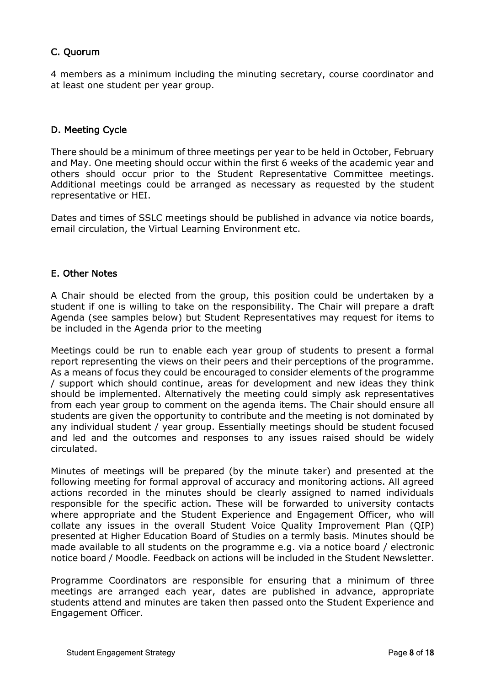### C. Quorum

4 members as a minimum including the minuting secretary, course coordinator and at least one student per year group.

#### D. Meeting Cycle

There should be a minimum of three meetings per year to be held in October, February and May. One meeting should occur within the first 6 weeks of the academic year and others should occur prior to the Student Representative Committee meetings. Additional meetings could be arranged as necessary as requested by the student representative or HEI.

Dates and times of SSLC meetings should be published in advance via notice boards, email circulation, the Virtual Learning Environment etc.

#### E. Other Notes

A Chair should be elected from the group, this position could be undertaken by a student if one is willing to take on the responsibility. The Chair will prepare a draft Agenda (see samples below) but Student Representatives may request for items to be included in the Agenda prior to the meeting

Meetings could be run to enable each year group of students to present a formal report representing the views on their peers and their perceptions of the programme. As a means of focus they could be encouraged to consider elements of the programme / support which should continue, areas for development and new ideas they think should be implemented. Alternatively the meeting could simply ask representatives from each year group to comment on the agenda items. The Chair should ensure all students are given the opportunity to contribute and the meeting is not dominated by any individual student / year group. Essentially meetings should be student focused and led and the outcomes and responses to any issues raised should be widely circulated.

Minutes of meetings will be prepared (by the minute taker) and presented at the following meeting for formal approval of accuracy and monitoring actions. All agreed actions recorded in the minutes should be clearly assigned to named individuals responsible for the specific action. These will be forwarded to university contacts where appropriate and the Student Experience and Engagement Officer, who will collate any issues in the overall Student Voice Quality Improvement Plan (QIP) presented at Higher Education Board of Studies on a termly basis. Minutes should be made available to all students on the programme e.g. via a notice board / electronic notice board / Moodle. Feedback on actions will be included in the Student Newsletter.

Programme Coordinators are responsible for ensuring that a minimum of three meetings are arranged each year, dates are published in advance, appropriate students attend and minutes are taken then passed onto the Student Experience and Engagement Officer.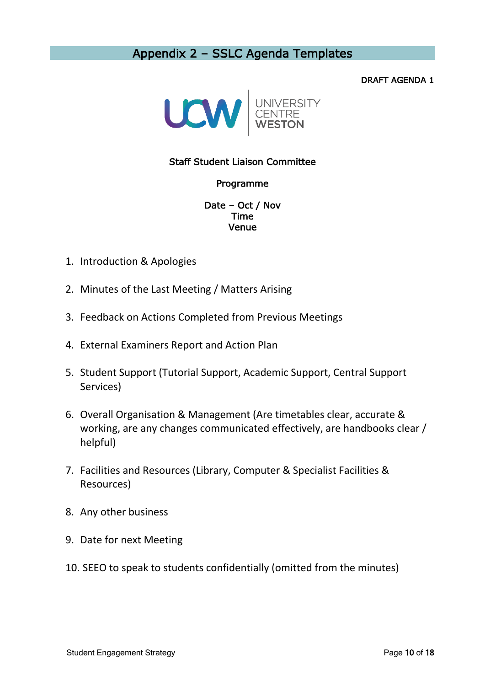# Appendix 2 – SSLC Agenda Templates

#### DRAFT AGENDA 1



#### Staff Student Liaison Committee

#### Programme

Date – Oct / Nov Time Venue

- 1. Introduction & Apologies
- 2. Minutes of the Last Meeting / Matters Arising
- 3. Feedback on Actions Completed from Previous Meetings
- 4. External Examiners Report and Action Plan
- 5. Student Support (Tutorial Support, Academic Support, Central Support Services)
- 6. Overall Organisation & Management (Are timetables clear, accurate & working, are any changes communicated effectively, are handbooks clear / helpful)
- 7. Facilities and Resources (Library, Computer & Specialist Facilities & Resources)
- 8. Any other business
- 9. Date for next Meeting
- 10. SEEO to speak to students confidentially (omitted from the minutes)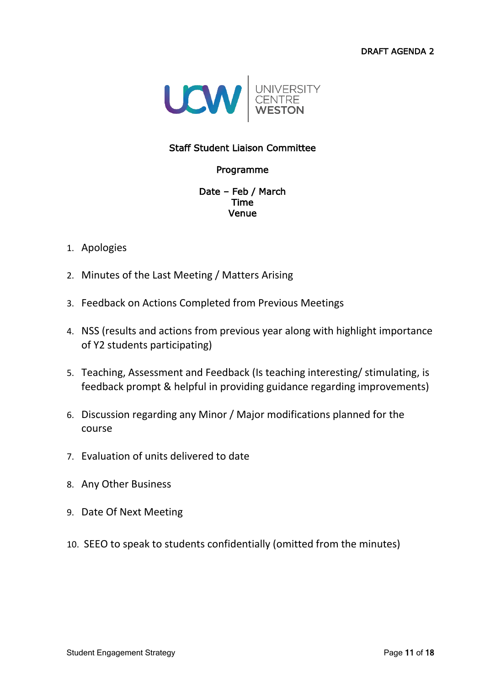DRAFT AGENDA 2



#### Staff Student Liaison Committee

#### Programme

#### Date – Feb / March Time Venue

- 1. Apologies
- 2. Minutes of the Last Meeting / Matters Arising
- 3. Feedback on Actions Completed from Previous Meetings
- 4. NSS (results and actions from previous year along with highlight importance of Y2 students participating)
- 5. Teaching, Assessment and Feedback (Is teaching interesting/ stimulating, is feedback prompt & helpful in providing guidance regarding improvements)
- 6. Discussion regarding any Minor / Major modifications planned for the course
- 7. Evaluation of units delivered to date
- 8. Any Other Business
- 9. Date Of Next Meeting
- 10. SEEO to speak to students confidentially (omitted from the minutes)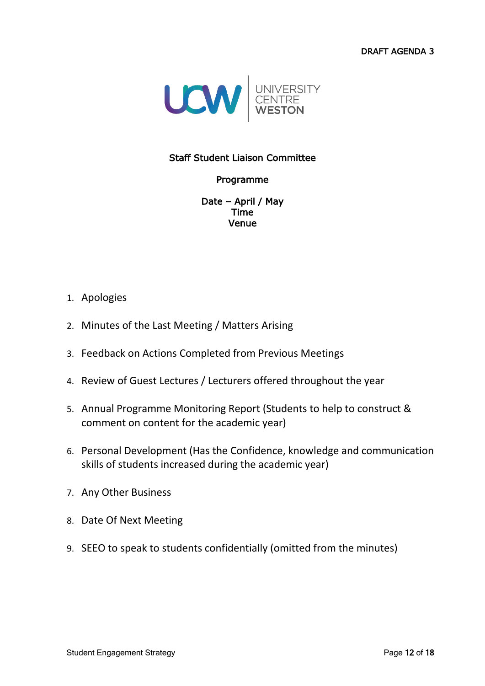DRAFT AGENDA 3



#### Staff Student Liaison Committee

#### Programme

Date – April / May Time Venue

#### 1. Apologies

- 2. Minutes of the Last Meeting / Matters Arising
- 3. Feedback on Actions Completed from Previous Meetings
- 4. Review of Guest Lectures / Lecturers offered throughout the year
- 5. Annual Programme Monitoring Report (Students to help to construct & comment on content for the academic year)
- 6. Personal Development (Has the Confidence, knowledge and communication skills of students increased during the academic year)
- 7. Any Other Business
- 8. Date Of Next Meeting
- 9. SEEO to speak to students confidentially (omitted from the minutes)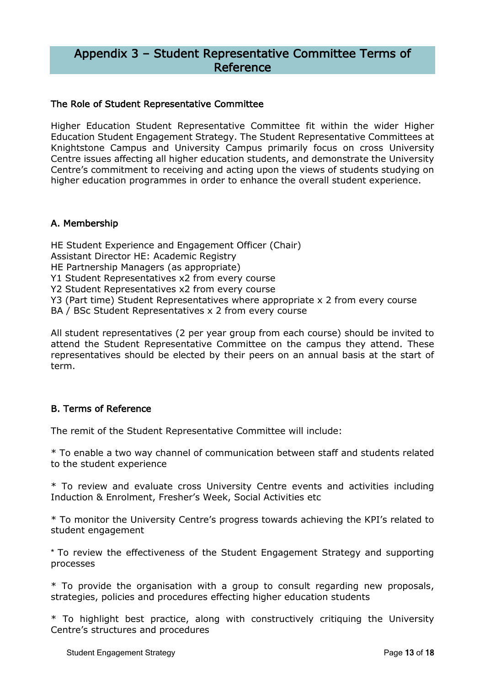## Appendix 3 – Student Representative Committee Terms of Reference

#### The Role of Student Representative Committee

Higher Education Student Representative Committee fit within the wider Higher Education Student Engagement Strategy. The Student Representative Committees at Knightstone Campus and University Campus primarily focus on cross University Centre issues affecting all higher education students, and demonstrate the University Centre's commitment to receiving and acting upon the views of students studying on higher education programmes in order to enhance the overall student experience.

#### A. Membership

HE Student Experience and Engagement Officer (Chair) Assistant Director HE: Academic Registry HE Partnership Managers (as appropriate) Y1 Student Representatives x2 from every course Y2 Student Representatives x2 from every course Y3 (Part time) Student Representatives where appropriate x 2 from every course BA / BSc Student Representatives x 2 from every course

All student representatives (2 per year group from each course) should be invited to attend the Student Representative Committee on the campus they attend. These representatives should be elected by their peers on an annual basis at the start of term.

#### B. Terms of Reference

The remit of the Student Representative Committee will include:

\* To enable a two way channel of communication between staff and students related to the student experience

\* To review and evaluate cross University Centre events and activities including Induction & Enrolment, Fresher's Week, Social Activities etc

\* To monitor the University Centre's progress towards achieving the KPI's related to student engagement

\* To review the effectiveness of the Student Engagement Strategy and supporting processes

\* To provide the organisation with a group to consult regarding new proposals, strategies, policies and procedures effecting higher education students

\* To highlight best practice, along with constructively critiquing the University Centre's structures and procedures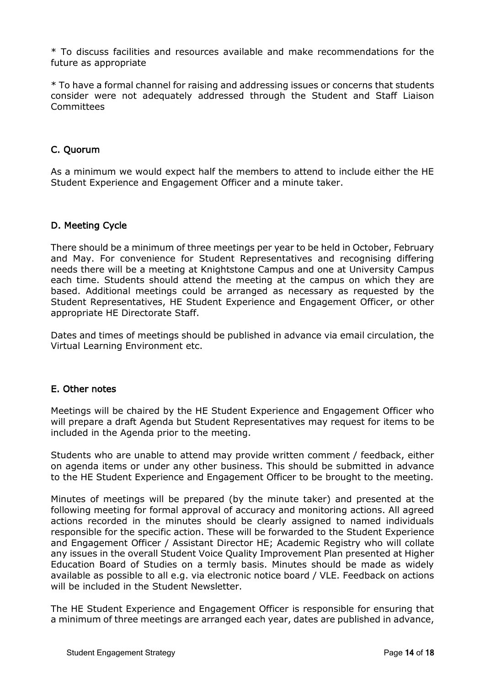\* To discuss facilities and resources available and make recommendations for the future as appropriate

\* To have a formal channel for raising and addressing issues or concerns that students consider were not adequately addressed through the Student and Staff Liaison **Committees** 

#### C. Quorum

As a minimum we would expect half the members to attend to include either the HE Student Experience and Engagement Officer and a minute taker.

#### D. Meeting Cycle

There should be a minimum of three meetings per year to be held in October, February and May. For convenience for Student Representatives and recognising differing needs there will be a meeting at Knightstone Campus and one at University Campus each time. Students should attend the meeting at the campus on which they are based. Additional meetings could be arranged as necessary as requested by the Student Representatives, HE Student Experience and Engagement Officer, or other appropriate HE Directorate Staff.

Dates and times of meetings should be published in advance via email circulation, the Virtual Learning Environment etc.

#### E. Other notes

Meetings will be chaired by the HE Student Experience and Engagement Officer who will prepare a draft Agenda but Student Representatives may request for items to be included in the Agenda prior to the meeting.

Students who are unable to attend may provide written comment / feedback, either on agenda items or under any other business. This should be submitted in advance to the HE Student Experience and Engagement Officer to be brought to the meeting.

Minutes of meetings will be prepared (by the minute taker) and presented at the following meeting for formal approval of accuracy and monitoring actions. All agreed actions recorded in the minutes should be clearly assigned to named individuals responsible for the specific action. These will be forwarded to the Student Experience and Engagement Officer / Assistant Director HE; Academic Registry who will collate any issues in the overall Student Voice Quality Improvement Plan presented at Higher Education Board of Studies on a termly basis. Minutes should be made as widely available as possible to all e.g. via electronic notice board / VLE. Feedback on actions will be included in the Student Newsletter.

The HE Student Experience and Engagement Officer is responsible for ensuring that a minimum of three meetings are arranged each year, dates are published in advance,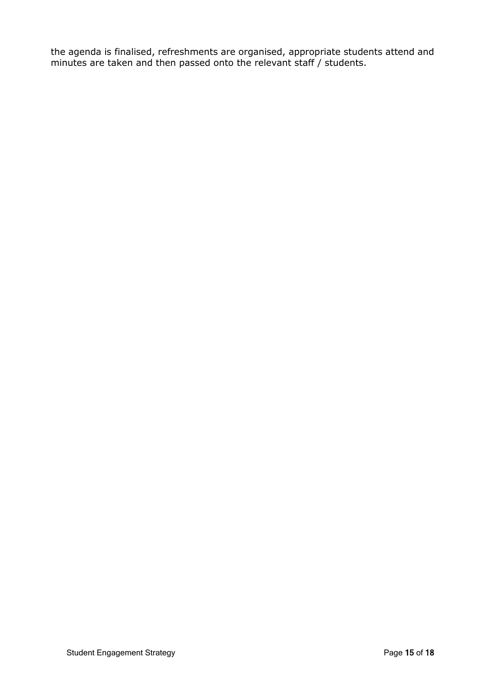the agenda is finalised, refreshments are organised, appropriate students attend and minutes are taken and then passed onto the relevant staff / students.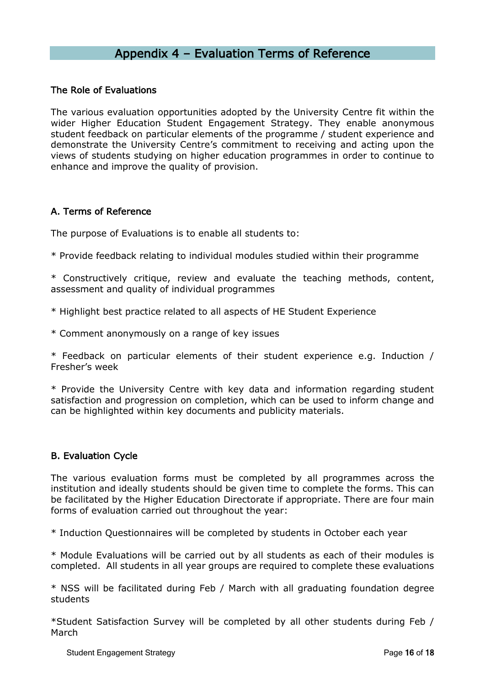## Appendix 4 – Evaluation Terms of Reference

#### The Role of Evaluations

The various evaluation opportunities adopted by the University Centre fit within the wider Higher Education Student Engagement Strategy. They enable anonymous student feedback on particular elements of the programme / student experience and demonstrate the University Centre's commitment to receiving and acting upon the views of students studying on higher education programmes in order to continue to enhance and improve the quality of provision.

#### A. Terms of Reference

The purpose of Evaluations is to enable all students to:

\* Provide feedback relating to individual modules studied within their programme

\* Constructively critique, review and evaluate the teaching methods, content, assessment and quality of individual programmes

\* Highlight best practice related to all aspects of HE Student Experience

\* Comment anonymously on a range of key issues

\* Feedback on particular elements of their student experience e.g. Induction / Fresher's week

\* Provide the University Centre with key data and information regarding student satisfaction and progression on completion, which can be used to inform change and can be highlighted within key documents and publicity materials.

#### B. Evaluation Cycle

The various evaluation forms must be completed by all programmes across the institution and ideally students should be given time to complete the forms. This can be facilitated by the Higher Education Directorate if appropriate. There are four main forms of evaluation carried out throughout the year:

\* Induction Questionnaires will be completed by students in October each year

\* Module Evaluations will be carried out by all students as each of their modules is completed. All students in all year groups are required to complete these evaluations

\* NSS will be facilitated during Feb / March with all graduating foundation degree students

\*Student Satisfaction Survey will be completed by all other students during Feb / March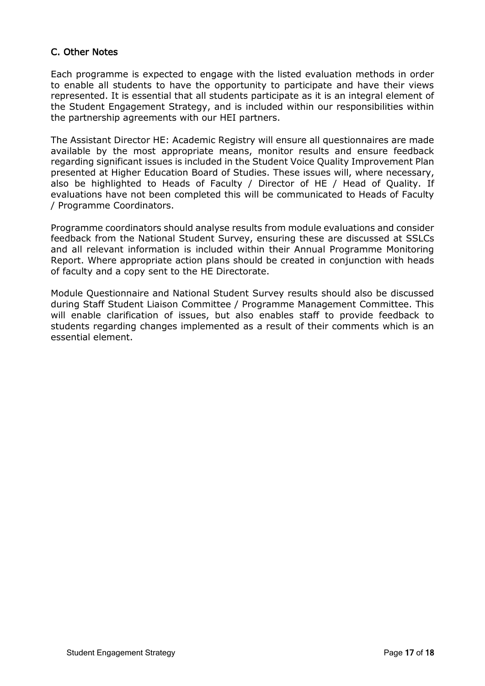#### C. Other Notes

Each programme is expected to engage with the listed evaluation methods in order to enable all students to have the opportunity to participate and have their views represented. It is essential that all students participate as it is an integral element of the Student Engagement Strategy, and is included within our responsibilities within the partnership agreements with our HEI partners.

The Assistant Director HE: Academic Registry will ensure all questionnaires are made available by the most appropriate means, monitor results and ensure feedback regarding significant issues is included in the Student Voice Quality Improvement Plan presented at Higher Education Board of Studies. These issues will, where necessary, also be highlighted to Heads of Faculty / Director of HE / Head of Quality. If evaluations have not been completed this will be communicated to Heads of Faculty / Programme Coordinators.

Programme coordinators should analyse results from module evaluations and consider feedback from the National Student Survey, ensuring these are discussed at SSLCs and all relevant information is included within their Annual Programme Monitoring Report. Where appropriate action plans should be created in conjunction with heads of faculty and a copy sent to the HE Directorate.

Module Questionnaire and National Student Survey results should also be discussed during Staff Student Liaison Committee / Programme Management Committee. This will enable clarification of issues, but also enables staff to provide feedback to students regarding changes implemented as a result of their comments which is an essential element.